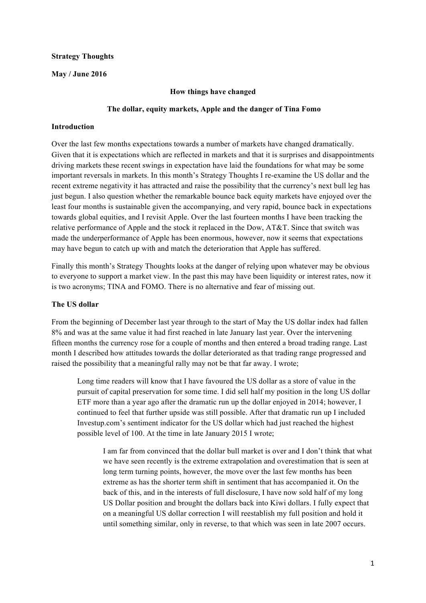### **Strategy Thoughts**

### **May / June 2016**

#### **How things have changed**

### **The dollar, equity markets, Apple and the danger of Tina Fomo**

#### **Introduction**

Over the last few months expectations towards a number of markets have changed dramatically. Given that it is expectations which are reflected in markets and that it is surprises and disappointments driving markets these recent swings in expectation have laid the foundations for what may be some important reversals in markets. In this month's Strategy Thoughts I re-examine the US dollar and the recent extreme negativity it has attracted and raise the possibility that the currency's next bull leg has just begun. I also question whether the remarkable bounce back equity markets have enjoyed over the least four months is sustainable given the accompanying, and very rapid, bounce back in expectations towards global equities, and I revisit Apple. Over the last fourteen months I have been tracking the relative performance of Apple and the stock it replaced in the Dow, AT&T. Since that switch was made the underperformance of Apple has been enormous, however, now it seems that expectations may have begun to catch up with and match the deterioration that Apple has suffered.

Finally this month's Strategy Thoughts looks at the danger of relying upon whatever may be obvious to everyone to support a market view. In the past this may have been liquidity or interest rates, now it is two acronyms; TINA and FOMO. There is no alternative and fear of missing out.

### **The US dollar**

From the beginning of December last year through to the start of May the US dollar index had fallen 8% and was at the same value it had first reached in late January last year. Over the intervening fifteen months the currency rose for a couple of months and then entered a broad trading range. Last month I described how attitudes towards the dollar deteriorated as that trading range progressed and raised the possibility that a meaningful rally may not be that far away. I wrote;

Long time readers will know that I have favoured the US dollar as a store of value in the pursuit of capital preservation for some time. I did sell half my position in the long US dollar ETF more than a year ago after the dramatic run up the dollar enjoyed in 2014; however, I continued to feel that further upside was still possible. After that dramatic run up I included Investup.com's sentiment indicator for the US dollar which had just reached the highest possible level of 100. At the time in late January 2015 I wrote;

I am far from convinced that the dollar bull market is over and I don't think that what we have seen recently is the extreme extrapolation and overestimation that is seen at long term turning points, however, the move over the last few months has been extreme as has the shorter term shift in sentiment that has accompanied it. On the back of this, and in the interests of full disclosure, I have now sold half of my long US Dollar position and brought the dollars back into Kiwi dollars. I fully expect that on a meaningful US dollar correction I will reestablish my full position and hold it until something similar, only in reverse, to that which was seen in late 2007 occurs.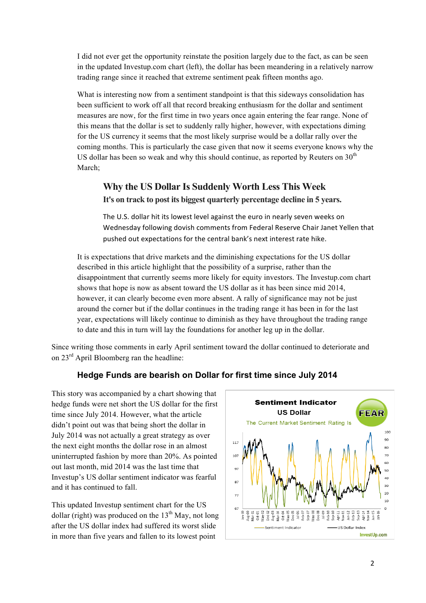I did not ever get the opportunity reinstate the position largely due to the fact, as can be seen in the updated Investup.com chart (left), the dollar has been meandering in a relatively narrow trading range since it reached that extreme sentiment peak fifteen months ago.

What is interesting now from a sentiment standpoint is that this sideways consolidation has been sufficient to work off all that record breaking enthusiasm for the dollar and sentiment measures are now, for the first time in two years once again entering the fear range. None of this means that the dollar is set to suddenly rally higher, however, with expectations diming for the US currency it seems that the most likely surprise would be a dollar rally over the coming months. This is particularly the case given that now it seems everyone knows why the US dollar has been so weak and why this should continue, as reported by Reuters on  $30<sup>th</sup>$ March;

### **Why the US Dollar Is Suddenly Worth Less This Week It's on track to post its biggest quarterly percentage decline in 5 years.**

The U.S. dollar hit its lowest level against the euro in nearly seven weeks on Wednesday following dovish comments from Federal Reserve Chair Janet Yellen that pushed out expectations for the central bank's next interest rate hike.

It is expectations that drive markets and the diminishing expectations for the US dollar described in this article highlight that the possibility of a surprise, rather than the disappointment that currently seems more likely for equity investors. The Investup.com chart shows that hope is now as absent toward the US dollar as it has been since mid 2014, however, it can clearly become even more absent. A rally of significance may not be just around the corner but if the dollar continues in the trading range it has been in for the last year, expectations will likely continue to diminish as they have throughout the trading range to date and this in turn will lay the foundations for another leg up in the dollar.

Since writing those comments in early April sentiment toward the dollar continued to deteriorate and on 23rd April Bloomberg ran the headline:

### **Hedge Funds are bearish on Dollar for first time since July 2014**

This story was accompanied by a chart showing that hedge funds were net short the US dollar for the first time since July 2014. However, what the article didn't point out was that being short the dollar in July 2014 was not actually a great strategy as over the next eight months the dollar rose in an almost uninterrupted fashion by more than 20%. As pointed out last month, mid 2014 was the last time that Investup's US dollar sentiment indicator was fearful and it has continued to fall.

This updated Investup sentiment chart for the US dollar (right) was produced on the  $13<sup>th</sup>$  May, not long after the US dollar index had suffered its worst slide in more than five years and fallen to its lowest point

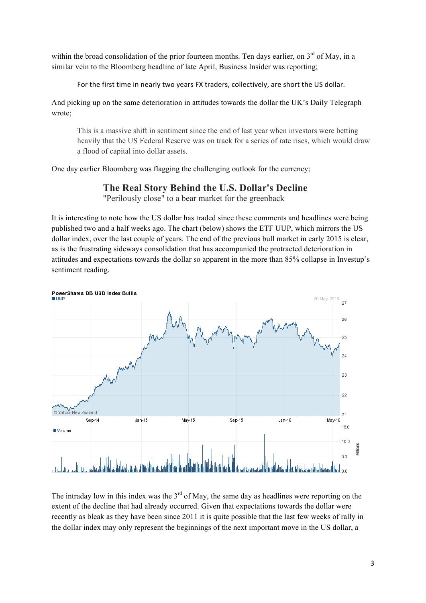within the broad consolidation of the prior fourteen months. Ten days earlier, on  $3<sup>rd</sup>$  of May, in a similar vein to the Bloomberg headline of late April, Business Insider was reporting;

For the first time in nearly two years FX traders, collectively, are short the US dollar.

And picking up on the same deterioration in attitudes towards the dollar the UK's Daily Telegraph wrote;

This is a massive shift in sentiment since the end of last year when investors were betting heavily that the US Federal Reserve was on track for a series of rate rises, which would draw a flood of capital into dollar assets.

One day earlier Bloomberg was flagging the challenging outlook for the currency;

### **The Real Story Behind the U.S. Dollar's Decline**

"Perilously close" to a bear market for the greenback

It is interesting to note how the US dollar has traded since these comments and headlines were being published two and a half weeks ago. The chart (below) shows the ETF UUP, which mirrors the US dollar index, over the last couple of years. The end of the previous bull market in early 2015 is clear, as is the frustrating sideways consolidation that has accompanied the protracted deterioration in attitudes and expectations towards the dollar so apparent in the more than 85% collapse in Investup's sentiment reading.



The intraday low in this index was the  $3<sup>rd</sup>$  of May, the same day as headlines were reporting on the extent of the decline that had already occurred. Given that expectations towards the dollar were recently as bleak as they have been since 2011 it is quite possible that the last few weeks of rally in the dollar index may only represent the beginnings of the next important move in the US dollar, a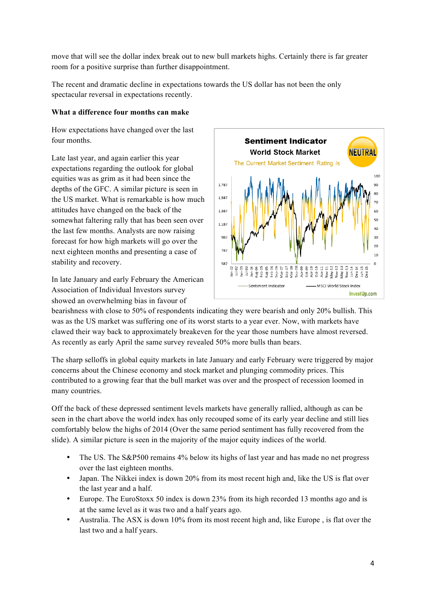move that will see the dollar index break out to new bull markets highs. Certainly there is far greater room for a positive surprise than further disappointment.

The recent and dramatic decline in expectations towards the US dollar has not been the only spectacular reversal in expectations recently.

### **What a difference four months can make**

How expectations have changed over the last four months.

Late last year, and again earlier this year expectations regarding the outlook for global equities was as grim as it had been since the depths of the GFC. A similar picture is seen in the US market. What is remarkable is how much attitudes have changed on the back of the somewhat faltering rally that has been seen over the last few months. Analysts are now raising forecast for how high markets will go over the next eighteen months and presenting a case of stability and recovery.

In late January and early February the American Association of Individual Investors survey showed an overwhelming bias in favour of



bearishness with close to 50% of respondents indicating they were bearish and only 20% bullish. This was as the US market was suffering one of its worst starts to a year ever. Now, with markets have clawed their way back to approximately breakeven for the year those numbers have almost reversed. As recently as early April the same survey revealed 50% more bulls than bears.

The sharp selloffs in global equity markets in late January and early February were triggered by major concerns about the Chinese economy and stock market and plunging commodity prices. This contributed to a growing fear that the bull market was over and the prospect of recession loomed in many countries.

Off the back of these depressed sentiment levels markets have generally rallied, although as can be seen in the chart above the world index has only recouped some of its early year decline and still lies comfortably below the highs of 2014 (Over the same period sentiment has fully recovered from the slide). A similar picture is seen in the majority of the major equity indices of the world.

- The US. The S&P500 remains 4% below its highs of last year and has made no net progress over the last eighteen months.
- Japan. The Nikkei index is down 20% from its most recent high and, like the US is flat over the last year and a half.
- Europe. The EuroStoxx 50 index is down 23% from its high recorded 13 months ago and is at the same level as it was two and a half years ago.
- Australia. The ASX is down 10% from its most recent high and, like Europe , is flat over the last two and a half years.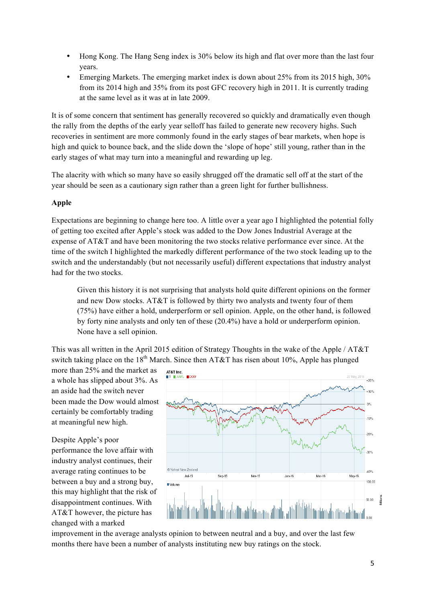- Hong Kong. The Hang Seng index is 30% below its high and flat over more than the last four years.
- Emerging Markets. The emerging market index is down about 25% from its 2015 high, 30% from its 2014 high and 35% from its post GFC recovery high in 2011. It is currently trading at the same level as it was at in late 2009.

It is of some concern that sentiment has generally recovered so quickly and dramatically even though the rally from the depths of the early year selloff has failed to generate new recovery highs. Such recoveries in sentiment are more commonly found in the early stages of bear markets, when hope is high and quick to bounce back, and the slide down the 'slope of hope' still young, rather than in the early stages of what may turn into a meaningful and rewarding up leg.

The alacrity with which so many have so easily shrugged off the dramatic sell off at the start of the year should be seen as a cautionary sign rather than a green light for further bullishness.

### **Apple**

Expectations are beginning to change here too. A little over a year ago I highlighted the potential folly of getting too excited after Apple's stock was added to the Dow Jones Industrial Average at the expense of AT&T and have been monitoring the two stocks relative performance ever since. At the time of the switch I highlighted the markedly different performance of the two stock leading up to the switch and the understandably (but not necessarily useful) different expectations that industry analyst had for the two stocks.

Given this history it is not surprising that analysts hold quite different opinions on the former and new Dow stocks. AT&T is followed by thirty two analysts and twenty four of them (75%) have either a hold, underperform or sell opinion. Apple, on the other hand, is followed by forty nine analysts and only ten of these (20.4%) have a hold or underperform opinion. None have a sell opinion.

This was all written in the April 2015 edition of Strategy Thoughts in the wake of the Apple / AT&T switch taking place on the 18<sup>th</sup> March. Since then AT&T has risen about 10%, Apple has plunged

more than 25% and the market as a whole has slipped about 3%. As an aside had the switch never been made the Dow would almost certainly be comfortably trading at meaningful new high.

Despite Apple's poor performance the love affair with industry analyst continues, their average rating continues to be between a buy and a strong buy, this may highlight that the risk of disappointment continues. With AT&T however, the picture has changed with a marked



improvement in the average analysts opinion to between neutral and a buy, and over the last few months there have been a number of analysts instituting new buy ratings on the stock.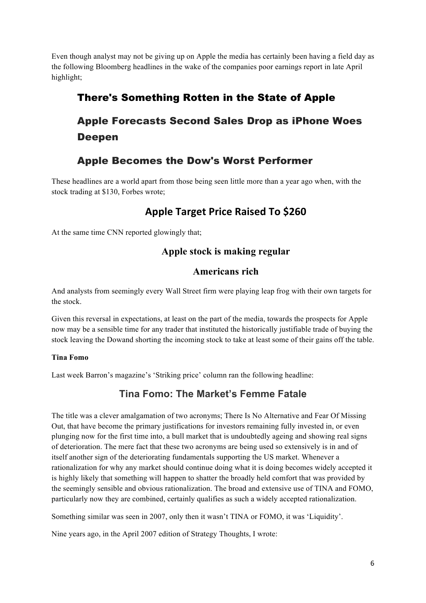Even though analyst may not be giving up on Apple the media has certainly been having a field day as the following Bloomberg headlines in the wake of the companies poor earnings report in late April highlight;

## There's Something Rotten in the State of Apple

# Apple Forecasts Second Sales Drop as iPhone Woes Deepen

## Apple Becomes the Dow's Worst Performer

These headlines are a world apart from those being seen little more than a year ago when, with the stock trading at \$130, Forbes wrote;

## **Apple Target Price Raised To \$260**

At the same time CNN reported glowingly that;

### **Apple stock is making regular**

### **Americans rich**

And analysts from seemingly every Wall Street firm were playing leap frog with their own targets for the stock.

Given this reversal in expectations, at least on the part of the media, towards the prospects for Apple now may be a sensible time for any trader that instituted the historically justifiable trade of buying the stock leaving the Dowand shorting the incoming stock to take at least some of their gains off the table.

### **Tina Fomo**

Last week Barron's magazine's 'Striking price' column ran the following headline:

## **Tina Fomo: The Market's Femme Fatale**

The title was a clever amalgamation of two acronyms; There Is No Alternative and Fear Of Missing Out, that have become the primary justifications for investors remaining fully invested in, or even plunging now for the first time into, a bull market that is undoubtedly ageing and showing real signs of deterioration. The mere fact that these two acronyms are being used so extensively is in and of itself another sign of the deteriorating fundamentals supporting the US market. Whenever a rationalization for why any market should continue doing what it is doing becomes widely accepted it is highly likely that something will happen to shatter the broadly held comfort that was provided by the seemingly sensible and obvious rationalization. The broad and extensive use of TINA and FOMO, particularly now they are combined, certainly qualifies as such a widely accepted rationalization.

Something similar was seen in 2007, only then it wasn't TINA or FOMO, it was 'Liquidity'.

Nine years ago, in the April 2007 edition of Strategy Thoughts, I wrote: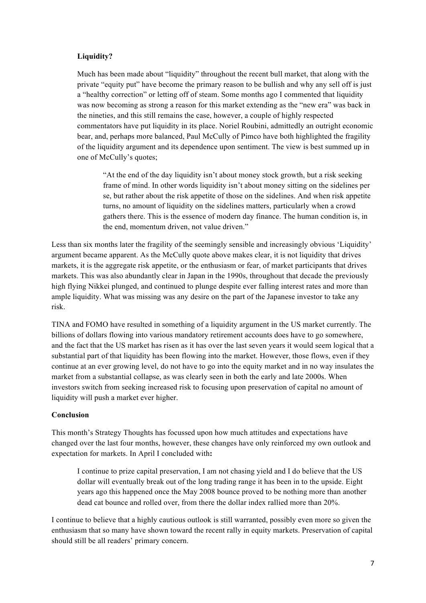### **Liquidity?**

Much has been made about "liquidity" throughout the recent bull market, that along with the private "equity put" have become the primary reason to be bullish and why any sell off is just a "healthy correction" or letting off of steam. Some months ago I commented that liquidity was now becoming as strong a reason for this market extending as the "new era" was back in the nineties, and this still remains the case, however, a couple of highly respected commentators have put liquidity in its place. Noriel Roubini, admittedly an outright economic bear, and, perhaps more balanced, Paul McCully of Pimco have both highlighted the fragility of the liquidity argument and its dependence upon sentiment. The view is best summed up in one of McCully's quotes;

"At the end of the day liquidity isn't about money stock growth, but a risk seeking frame of mind. In other words liquidity isn't about money sitting on the sidelines per se, but rather about the risk appetite of those on the sidelines. And when risk appetite turns, no amount of liquidity on the sidelines matters, particularly when a crowd gathers there. This is the essence of modern day finance. The human condition is, in the end, momentum driven, not value driven."

Less than six months later the fragility of the seemingly sensible and increasingly obvious 'Liquidity' argument became apparent. As the McCully quote above makes clear, it is not liquidity that drives markets, it is the aggregate risk appetite, or the enthusiasm or fear, of market participants that drives markets. This was also abundantly clear in Japan in the 1990s, throughout that decade the previously high flying Nikkei plunged, and continued to plunge despite ever falling interest rates and more than ample liquidity. What was missing was any desire on the part of the Japanese investor to take any risk.

TINA and FOMO have resulted in something of a liquidity argument in the US market currently. The billions of dollars flowing into various mandatory retirement accounts does have to go somewhere, and the fact that the US market has risen as it has over the last seven years it would seem logical that a substantial part of that liquidity has been flowing into the market. However, those flows, even if they continue at an ever growing level, do not have to go into the equity market and in no way insulates the market from a substantial collapse, as was clearly seen in both the early and late 2000s. When investors switch from seeking increased risk to focusing upon preservation of capital no amount of liquidity will push a market ever higher.

### **Conclusion**

This month's Strategy Thoughts has focussed upon how much attitudes and expectations have changed over the last four months, however, these changes have only reinforced my own outlook and expectation for markets. In April I concluded with**:**

I continue to prize capital preservation, I am not chasing yield and I do believe that the US dollar will eventually break out of the long trading range it has been in to the upside. Eight years ago this happened once the May 2008 bounce proved to be nothing more than another dead cat bounce and rolled over, from there the dollar index rallied more than 20%.

I continue to believe that a highly cautious outlook is still warranted, possibly even more so given the enthusiasm that so many have shown toward the recent rally in equity markets. Preservation of capital should still be all readers' primary concern.